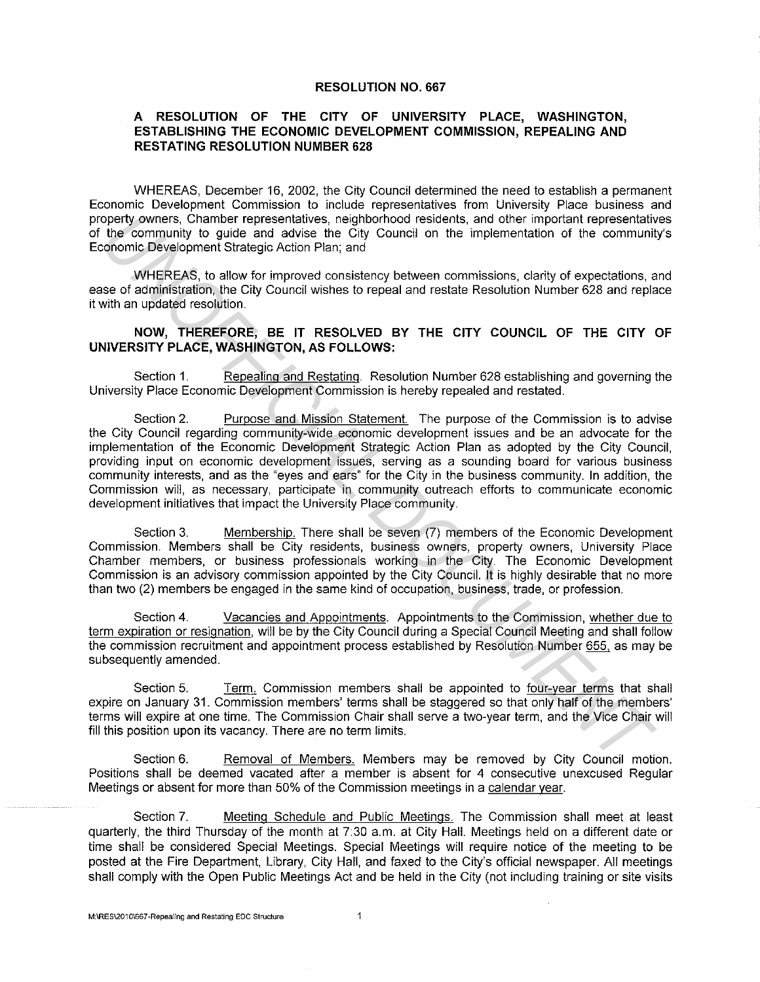## **RESOLUTION NO. 667**

## **A RESOLUTION OF THE CITY OF UNIVERSITY PLACE, WASHINGTON, ESTABLISHING THE ECONOMIC DEVELOPMENT COMMISSION, REPEALING AND RESTATING RESOLUTION NUMBER 628**

WHEREAS, December 16, 2002, the City Council determined the need to establish a permanent Economic Development Commission to include representatives from University Place business and property owners, Chamber representatives, neighborhood residents, and other important representatives of the community to guide and advise the City Council on the implementation of the community's Economic Development Strategic Action Plan; and

WHEREAS, to allow for improved consistency between commissions, clarity of expectations, and ease of administration, the City Council wishes to repeal and restate Resolution Number 628 and replace it with an updated resolution.

## **NOW, THEREFORE, BE IT RESOLVED BY THE CITY COUNCIL OF THE CITY OF UNIVERSITY PLACE, WASHINGTON, AS FOLLOWS:**

Section **1.** Repealing and Restating. Resolution Number 628 establishing and governing the University Place Economic Development Commission is hereby repealed and restated.

Section 2. Purpose and Mission Statement. The purpose of the Commission is to advise the City Council regarding community-wide economic development issues and be an advocate for the implementation of the Economic Development Strategic Action Plan as adopted by the City Council, providing input on economic development issues, serving as a sounding board for various business community interests, and as the "eyes and ears" for the City in the business community. In addition, the Commission will, as necessary, participate in community outreach efforts to communicate economic development initiatives that impact the University Place community. openty owners, Chamber representatives, neighborhood residents, and other inportant representatives in the community to guide and advise the City Council on the implementation of the community of the sometrical order in th

Section 3. Membership. There shall be seven (7) members of the Economic Development Commission. Members shall be City residents, business owners, property owners, University Place Chamber members, or business professionals working in the City. The Economic Development Commission is an advisory commission appointed by the City Council. It is highly desirable that no more than two (2) members be engaged in the same kind of occupation, business, trade, or profession.

Section 4. Vacancies and Appointments. Appointments to the Commission, whether due to term expiration or resignation, will be by the City Council during a Special Council Meeting and shall follow the commission recruitment and appointment process established by Resolution Number 655 as may be subsequently amended.

Section 5. Term. Commission members shall be appointed to four-year terms that shall expire on January 31. Commission members' terms shall be staggered so that only half of the members' terms will expire at one time. The Commission Chair shall serve a two-year term, and the Vice Chair will fill this position upon its vacancy. There are no term limits.

Section 6. Removal of Members. Members may be removed by City Council motion. Positions shall be deemed vacated after a member is absent for 4 consecutive unexcused Regular Meetings or absent for more than 50% of the Commission meetings in a calendar year.

Section 7. Meeting Schedule and Public Meetings. The Commission shall meet at least quarterly, the third Thursday of the month at 7:30 a.m. at City Hall. Meetings held on a different date or time shall be considered Special Meetings. Special Meetings will require notice of the meeting to be posted at the Fire Department, Library, City Hall, and faxed to the City's official newspaper. All meetings shall comply with the Open Public Meetings Act and be held in the City (not including training or site visits

 $\ddagger$